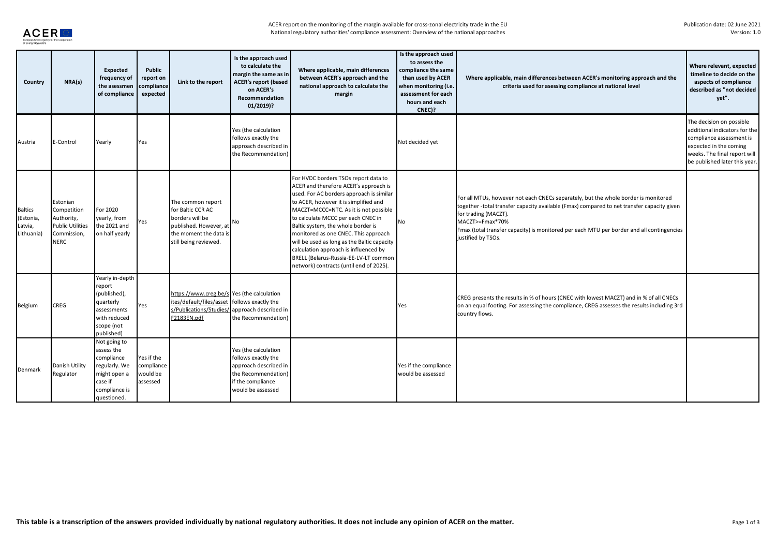

| Country                                              | NRA(s)                                                                                        | Expected<br>frequency of<br>the asessmen<br>of compliance                                                            | Public<br>report on<br>compliance<br>expected    | Link to the report                                                                                                                     | Is the approach used<br>to calculate the<br>margin the same as in<br><b>ACER's report (based</b><br>on ACER's<br>Recommendation<br>$01/2019$ ? | Where applicable, main differences<br>between ACER's approach and the<br>national approach to calculate the<br>margin                                                                                                                                                                                                                                                                                                                                                                                       | Is the approach used<br>to assess the<br>compliance the same<br>than used by ACER<br>when monitoring (i.e.<br>assessment for each<br>hours and each<br>CNEC)? | Where applicable, main differences between ACER's monitoring approach and the<br>criteria used for asessing compliance at national level                                                                                                                                                                                                       | Where relevant, expected<br>timeline to decide on the<br>aspects of compliance<br>described as "not decided<br>yet".                                                             |
|------------------------------------------------------|-----------------------------------------------------------------------------------------------|----------------------------------------------------------------------------------------------------------------------|--------------------------------------------------|----------------------------------------------------------------------------------------------------------------------------------------|------------------------------------------------------------------------------------------------------------------------------------------------|-------------------------------------------------------------------------------------------------------------------------------------------------------------------------------------------------------------------------------------------------------------------------------------------------------------------------------------------------------------------------------------------------------------------------------------------------------------------------------------------------------------|---------------------------------------------------------------------------------------------------------------------------------------------------------------|------------------------------------------------------------------------------------------------------------------------------------------------------------------------------------------------------------------------------------------------------------------------------------------------------------------------------------------------|----------------------------------------------------------------------------------------------------------------------------------------------------------------------------------|
| Austria                                              | E-Control                                                                                     | Yearly                                                                                                               | Yes                                              |                                                                                                                                        | Yes (the calculation<br>follows exactly the<br>approach described in<br>the Recommendation)                                                    |                                                                                                                                                                                                                                                                                                                                                                                                                                                                                                             | Not decided yet                                                                                                                                               |                                                                                                                                                                                                                                                                                                                                                | The decision on possible<br>additional indicators for the<br>compliance assessment is<br>expected in the coming<br>weeks. The final report will<br>be published later this year. |
| <b>Baltics</b><br>(Estonia,<br>Latvia,<br>Lithuania) | Estonian<br>Competition<br>Authority,<br><b>Public Utilities</b><br>Commission<br><b>NERC</b> | For 2020<br>yearly, from<br>the 2021 and<br>on half yearly                                                           | Yes                                              | The common report<br>for Baltic CCR AC<br>borders will be<br>published. However, at<br>the moment the data is<br>still being reviewed. | No                                                                                                                                             | For HVDC borders TSOs report data to<br>ACER and therefore ACER's approach is<br>used. For AC borders approach is similar<br>to ACER, however it is simplified and<br>MACZT=MCCC=NTC. As it is not possible<br>to calculate MCCC per each CNEC in<br>Baltic system, the whole border is<br>monitored as one CNEC. This approach<br>will be used as long as the Baltic capacity<br>calculation approach is influenced by<br>BRELL (Belarus-Russia-EE-LV-LT common<br>network) contracts (until end of 2025). | No                                                                                                                                                            | For all MTUs, however not each CNECs separately, but the whole border is monitored<br>together -total transfer capacity available (Fmax) compared to net transfer capacity given<br>for trading (MACZT).<br>MACZT>=Fmax*70%<br>Fmax (total transfer capacity) is monitored per each MTU per border and all contingencies<br>justified by TSOs. |                                                                                                                                                                                  |
| Belgium                                              | <b>CREG</b>                                                                                   | Yearly in-depth<br>report<br>(published),<br>quarterly<br>assessments<br>with reduced<br>scope (not<br>published)    | Yes                                              | https://www.creg.be/s Yes (the calculation<br>ites/default/files/asset<br>s/Publications/Studies<br>F2183EN.pdf                        | follows exactly the<br>approach described in<br>the Recommendation)                                                                            |                                                                                                                                                                                                                                                                                                                                                                                                                                                                                                             | Yes                                                                                                                                                           | CREG presents the results in % of hours (CNEC with lowest MACZT) and in % of all CNECs<br>on an equal footing. For assessing the compliance, CREG assesses the results including 3rd<br>country flows.                                                                                                                                         |                                                                                                                                                                                  |
| Denmark                                              | Danish Utility<br>Regulator                                                                   | Not going to<br>assess the<br>compliance<br>regularly. We<br>might open a<br>case if<br>compliance is<br>questioned. | Yes if the<br>compliance<br>would be<br>assessed |                                                                                                                                        | Yes (the calculation<br>follows exactly the<br>approach described in<br>the Recommendation)<br>if the compliance<br>would be assessed          |                                                                                                                                                                                                                                                                                                                                                                                                                                                                                                             | Yes if the compliance<br>would be assessed                                                                                                                    |                                                                                                                                                                                                                                                                                                                                                |                                                                                                                                                                                  |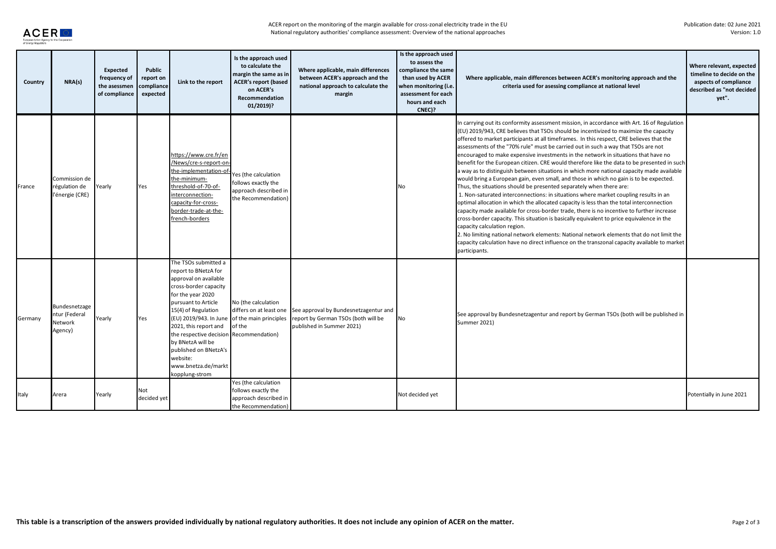

| Country | NRA(s)                                               | Expected<br>frequency of<br>the asessmen<br>of compliance | Public<br>report on<br>compliance<br>expected | Link to the report                                                                                                                                                                                                                                                                                                                                                                        | Is the approach used<br>to calculate the<br>margin the same as in<br><b>ACER's report (based</b><br>on ACER's<br><b>Recommendation</b><br>$01/2019$ ? | Where applicable, main differences<br>between ACER's approach and the<br>national approach to calculate the<br>margin | Is the approach used<br>to assess the<br>compliance the same<br>than used by ACER<br>when monitoring (i.e.<br>assessment for each<br>hours and each<br>CNEC)? | Where applicable, main differences between ACER's monitoring approach and the<br>criteria used for asessing compliance at national level                                                                                                                                                                                                                                                                                                                                                                                                                                                                                                                                                                                                                                                                                                                                                                                                                                                                                                                                                                                                                                                                                                                                                                                                                                                                                                              | Where relevant, expected<br>timeline to decide on the<br>aspects of compliance<br>described as "not decided<br>vet". |
|---------|------------------------------------------------------|-----------------------------------------------------------|-----------------------------------------------|-------------------------------------------------------------------------------------------------------------------------------------------------------------------------------------------------------------------------------------------------------------------------------------------------------------------------------------------------------------------------------------------|-------------------------------------------------------------------------------------------------------------------------------------------------------|-----------------------------------------------------------------------------------------------------------------------|---------------------------------------------------------------------------------------------------------------------------------------------------------------|-------------------------------------------------------------------------------------------------------------------------------------------------------------------------------------------------------------------------------------------------------------------------------------------------------------------------------------------------------------------------------------------------------------------------------------------------------------------------------------------------------------------------------------------------------------------------------------------------------------------------------------------------------------------------------------------------------------------------------------------------------------------------------------------------------------------------------------------------------------------------------------------------------------------------------------------------------------------------------------------------------------------------------------------------------------------------------------------------------------------------------------------------------------------------------------------------------------------------------------------------------------------------------------------------------------------------------------------------------------------------------------------------------------------------------------------------------|----------------------------------------------------------------------------------------------------------------------|
| France  | Commission de<br>régulation de<br>l'énergie (CRE)    | Yearly                                                    | Yes                                           | https://www.cre.fr/en<br>/News/cre-s-report-on-<br>the-implementation-of<br>the-minimum-<br>threshold-of-70-of-<br>interconnection-<br>capacity-for-cross-<br>border-trade-at-the-<br>french-borders                                                                                                                                                                                      | Yes (the calculation<br>follows exactly the<br>approach described in<br>the Recommendation)                                                           |                                                                                                                       | No                                                                                                                                                            | In carrying out its conformity assessment mission, in accordance with Art. 16 of Regulation<br>(EU) 2019/943, CRE believes that TSOs should be incentivized to maximize the capacity<br>offered to market participants at all timeframes. In this respect, CRE believes that the<br>assessments of the "70% rule" must be carried out in such a way that TSOs are not<br>encouraged to make expensive investments in the network in situations that have no<br>benefit for the European citizen. CRE would therefore like the data to be presented in such<br>a way as to distinguish between situations in which more national capacity made available<br>would bring a European gain, even small, and those in which no gain is to be expected.<br>Thus, the situations should be presented separately when there are:<br>1. Non-saturated interconnections: in situations where market coupling results in an<br>optimal allocation in which the allocated capacity is less than the total interconnection<br>capacity made available for cross-border trade, there is no incentive to further increase<br>cross-border capacity. This situation is basically equivalent to price equivalence in the<br>capacity calculation region.<br>2. No limiting national network elements: National network elements that do not limit the<br>capacity calculation have no direct influence on the transzonal capacity available to market<br>participants. |                                                                                                                      |
| Germany | Bundesnetzage<br>ntur (Federal<br>Network<br>Agency) | Yearly                                                    | Yes                                           | The TSOs submitted a<br>report to BNetzA for<br>approval on available<br>cross-border capacity<br>for the year 2020<br>pursuant to Article<br>15(4) of Regulation<br>(EU) 2019/943. In June of the main principles<br>2021, this report and<br>the respective decision Recommendation)<br>by BNetzA will be<br>published on BNetzA's<br>website:<br>www.bnetza.de/markt<br>kopplung-strom | No (the calculation<br>differs on at least one<br>of the                                                                                              | See approval by Bundesnetzagentur and<br>report by German TSOs (both will be<br>published in Summer 2021)             | No                                                                                                                                                            | See approval by Bundesnetzagentur and report by German TSOs (both will be published in<br>Summer 2021)                                                                                                                                                                                                                                                                                                                                                                                                                                                                                                                                                                                                                                                                                                                                                                                                                                                                                                                                                                                                                                                                                                                                                                                                                                                                                                                                                |                                                                                                                      |
| Italy   | Arera                                                | Yearly                                                    | Not<br>decided yet                            |                                                                                                                                                                                                                                                                                                                                                                                           | Yes (the calculation<br>follows exactly the<br>approach described in<br>the Recommendation                                                            |                                                                                                                       | Not decided yet                                                                                                                                               |                                                                                                                                                                                                                                                                                                                                                                                                                                                                                                                                                                                                                                                                                                                                                                                                                                                                                                                                                                                                                                                                                                                                                                                                                                                                                                                                                                                                                                                       | Potentially in June 2021                                                                                             |